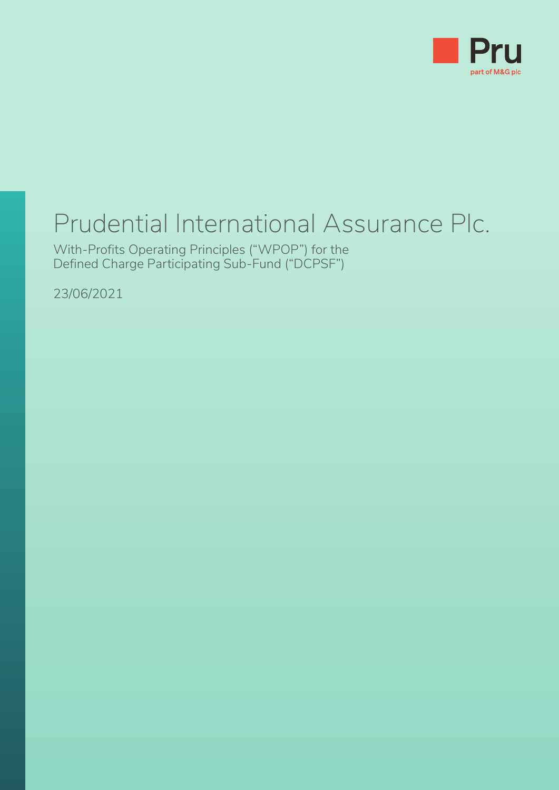

# Prudential International Assurance Plc.

With-Profits Operating Principles ("WPOP") for the Defined Charge Participating Sub-Fund ("DCPSF")

23/06/2021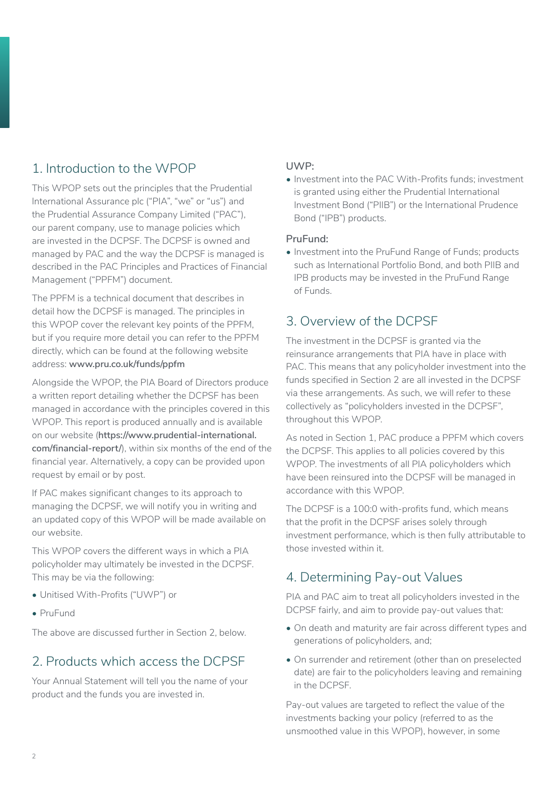# 1. Introduction to the WPOP

This WPOP sets out the principles that the Prudential International Assurance plc ("PIA", "we" or "us") and the Prudential Assurance Company Limited ("PAC"), our parent company, use to manage policies which are invested in the DCPSF. The DCPSF is owned and managed by PAC and the way the DCPSF is managed is described in the PAC Principles and Practices of Financial Management ("PPFM") document.

The PPFM is a technical document that describes in detail how the DCPSF is managed. The principles in this WPOP cover the relevant key points of the PPFM, but if you require more detail you can refer to the PPFM directly, which can be found at the following website address: **www.pru.co.uk/funds/ppfm**

Alongside the WPOP, the PIA Board of Directors produce a written report detailing whether the DCPSF has been managed in accordance with the principles covered in this WPOP. This report is produced annually and is available on our website (**https://www.prudential-international. com/financial-report/**), within six months of the end of the financial year. Alternatively, a copy can be provided upon request by email or by post.

If PAC makes significant changes to its approach to managing the DCPSF, we will notify you in writing and an updated copy of this WPOP will be made available on our website.

This WPOP covers the different ways in which a PIA policyholder may ultimately be invested in the DCPSF. This may be via the following:

- Unitised With-Profits ("UWP") or
- PruFund

The above are discussed further in Section 2, below.

# 2. Products which access the DCPSF

Your Annual Statement will tell you the name of your product and the funds you are invested in.

### **UWP:**

• Investment into the PAC With-Profits funds; investment is granted using either the Prudential International Investment Bond ("PIIB") or the International Prudence Bond ("IPB") products.

### **PruFund:**

• Investment into the PruFund Range of Funds; products such as International Portfolio Bond, and both PIIB and IPB products may be invested in the PruFund Range of Funds.

### 3. Overview of the DCPSF

The investment in the DCPSF is granted via the reinsurance arrangements that PIA have in place with PAC. This means that any policyholder investment into the funds specified in Section 2 are all invested in the DCPSF via these arrangements. As such, we will refer to these collectively as "policyholders invested in the DCPSF", throughout this WPOP.

As noted in Section 1, PAC produce a PPFM which covers the DCPSF. This applies to all policies covered by this WPOP. The investments of all PIA policyholders which have been reinsured into the DCPSF will be managed in accordance with this WPOP.

The DCPSF is a 100:0 with-profits fund, which means that the profit in the DCPSF arises solely through investment performance, which is then fully attributable to those invested within it.

# 4. Determining Pay-out Values

PIA and PAC aim to treat all policyholders invested in the DCPSF fairly, and aim to provide pay-out values that:

- On death and maturity are fair across different types and generations of policyholders, and;
- On surrender and retirement (other than on preselected date) are fair to the policyholders leaving and remaining in the DCPSF.

Pay-out values are targeted to reflect the value of the investments backing your policy (referred to as the unsmoothed value in this WPOP), however, in some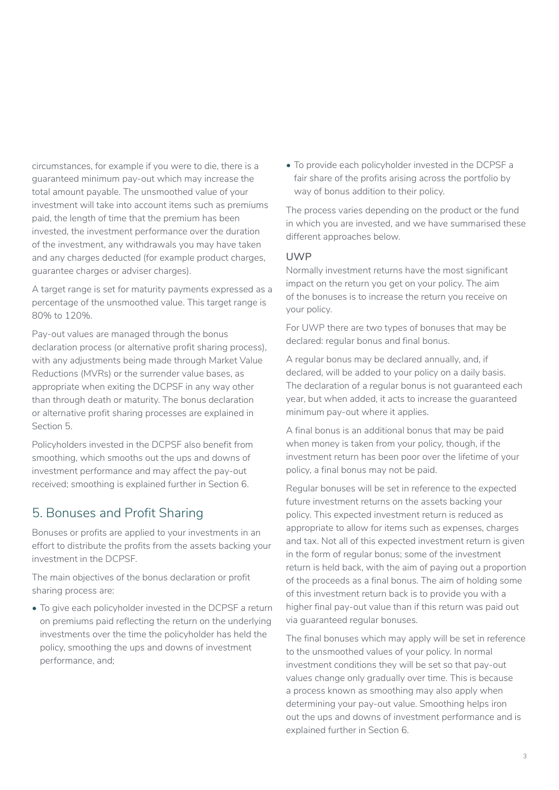circumstances, for example if you were to die, there is a guaranteed minimum pay-out which may increase the total amount payable. The unsmoothed value of your investment will take into account items such as premiums paid, the length of time that the premium has been invested, the investment performance over the duration of the investment, any withdrawals you may have taken and any charges deducted (for example product charges, guarantee charges or adviser charges).

A target range is set for maturity payments expressed as a percentage of the unsmoothed value. This target range is 80% to 120%.

Pay-out values are managed through the bonus declaration process (or alternative profit sharing process), with any adjustments being made through Market Value Reductions (MVRs) or the surrender value bases, as appropriate when exiting the DCPSF in any way other than through death or maturity. The bonus declaration or alternative profit sharing processes are explained in Section 5.

Policyholders invested in the DCPSF also benefit from smoothing, which smooths out the ups and downs of investment performance and may affect the pay-out received; smoothing is explained further in Section 6.

# 5. Bonuses and Profit Sharing

Bonuses or profits are applied to your investments in an effort to distribute the profits from the assets backing your investment in the DCPSF.

The main objectives of the bonus declaration or profit sharing process are:

• To give each policyholder invested in the DCPSF a return on premiums paid reflecting the return on the underlying investments over the time the policyholder has held the policy, smoothing the ups and downs of investment performance, and;

• To provide each policyholder invested in the DCPSF a fair share of the profits arising across the portfolio by way of bonus addition to their policy.

The process varies depending on the product or the fund in which you are invested, and we have summarised these different approaches below.

#### **UWP**

Normally investment returns have the most significant impact on the return you get on your policy. The aim of the bonuses is to increase the return you receive on your policy.

For UWP there are two types of bonuses that may be declared: regular bonus and final bonus.

A regular bonus may be declared annually, and, if declared, will be added to your policy on a daily basis. The declaration of a regular bonus is not guaranteed each year, but when added, it acts to increase the guaranteed minimum pay-out where it applies.

A final bonus is an additional bonus that may be paid when money is taken from your policy, though, if the investment return has been poor over the lifetime of your policy, a final bonus may not be paid.

Regular bonuses will be set in reference to the expected future investment returns on the assets backing your policy. This expected investment return is reduced as appropriate to allow for items such as expenses, charges and tax. Not all of this expected investment return is given in the form of regular bonus; some of the investment return is held back, with the aim of paying out a proportion of the proceeds as a final bonus. The aim of holding some of this investment return back is to provide you with a higher final pay-out value than if this return was paid out via guaranteed regular bonuses.

The final bonuses which may apply will be set in reference to the unsmoothed values of your policy. In normal investment conditions they will be set so that pay-out values change only gradually over time. This is because a process known as smoothing may also apply when determining your pay-out value. Smoothing helps iron out the ups and downs of investment performance and is explained further in Section 6.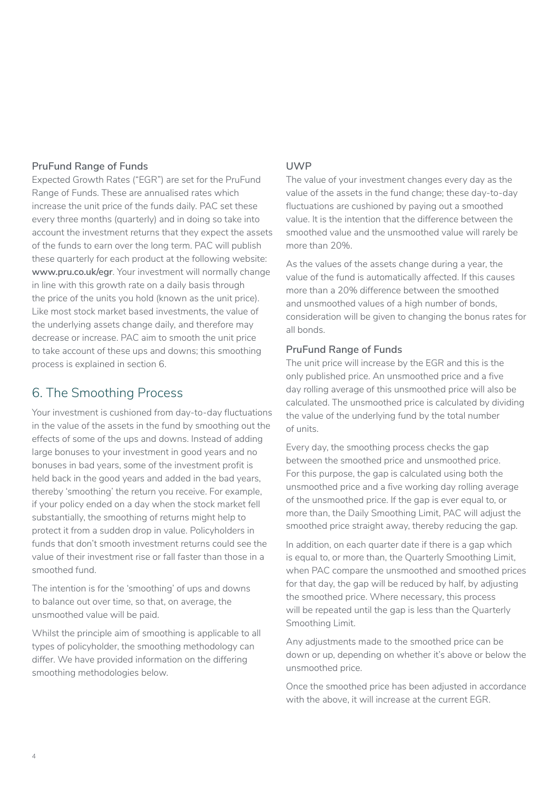### **PruFund Range of Funds**

Expected Growth Rates ("EGR") are set for the PruFund Range of Funds. These are annualised rates which increase the unit price of the funds daily. PAC set these every three months (quarterly) and in doing so take into account the investment returns that they expect the assets of the funds to earn over the long term. PAC will publish these quarterly for each product at the following website: **www.pru.co.uk/egr**. Your investment will normally change in line with this growth rate on a daily basis through the price of the units you hold (known as the unit price). Like most stock market based investments, the value of the underlying assets change daily, and therefore may decrease or increase. PAC aim to smooth the unit price to take account of these ups and downs; this smoothing process is explained in section 6.

# 6. The Smoothing Process

Your investment is cushioned from day-to-day fluctuations in the value of the assets in the fund by smoothing out the effects of some of the ups and downs. Instead of adding large bonuses to your investment in good years and no bonuses in bad years, some of the investment profit is held back in the good years and added in the bad years, thereby 'smoothing' the return you receive. For example, if your policy ended on a day when the stock market fell substantially, the smoothing of returns might help to protect it from a sudden drop in value. Policyholders in funds that don't smooth investment returns could see the value of their investment rise or fall faster than those in a smoothed fund.

The intention is for the 'smoothing' of ups and downs to balance out over time, so that, on average, the unsmoothed value will be paid.

Whilst the principle aim of smoothing is applicable to all types of policyholder, the smoothing methodology can differ. We have provided information on the differing smoothing methodologies below.

### **UWP**

The value of your investment changes every day as the value of the assets in the fund change; these day-to-day fluctuations are cushioned by paying out a smoothed value. It is the intention that the difference between the smoothed value and the unsmoothed value will rarely be more than 20%.

As the values of the assets change during a year, the value of the fund is automatically affected. If this causes more than a 20% difference between the smoothed and unsmoothed values of a high number of bonds, consideration will be given to changing the bonus rates for all bonds.

### **PruFund Range of Funds**

The unit price will increase by the EGR and this is the only published price. An unsmoothed price and a five day rolling average of this unsmoothed price will also be calculated. The unsmoothed price is calculated by dividing the value of the underlying fund by the total number of units.

Every day, the smoothing process checks the gap between the smoothed price and unsmoothed price. For this purpose, the gap is calculated using both the unsmoothed price and a five working day rolling average of the unsmoothed price. If the gap is ever equal to, or more than, the Daily Smoothing Limit, PAC will adjust the smoothed price straight away, thereby reducing the gap.

In addition, on each quarter date if there is a gap which is equal to, or more than, the Quarterly Smoothing Limit, when PAC compare the unsmoothed and smoothed prices for that day, the gap will be reduced by half, by adjusting the smoothed price. Where necessary, this process will be repeated until the gap is less than the Quarterly Smoothing Limit.

Any adjustments made to the smoothed price can be down or up, depending on whether it's above or below the unsmoothed price.

Once the smoothed price has been adjusted in accordance with the above, it will increase at the current EGR.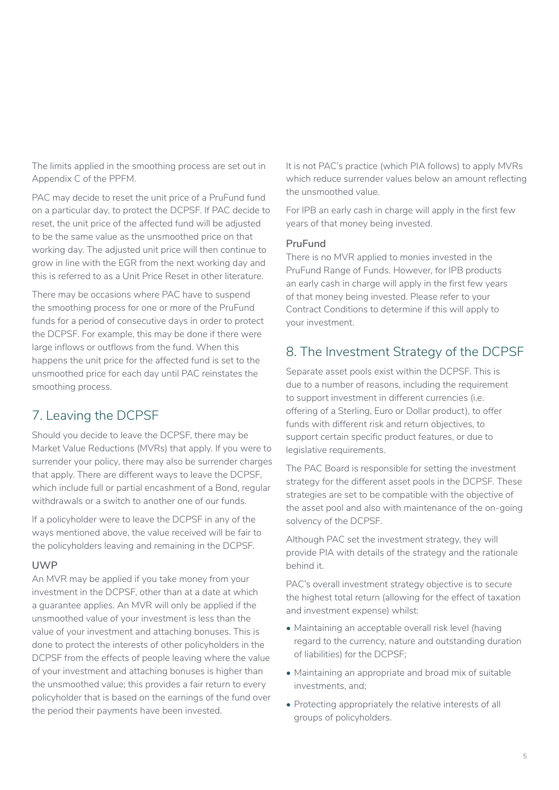The limits applied in the smoothing process are set out in Appendix C of the PPFM.

PAC may decide to reset the unit price of a PruFund fund on a particular day, to protect the DCPSF. If PAC decide to reset, the unit price of the affected fund will be adjusted to be the same value as the unsmoothed price on that working day. The adjusted unit price will then continue to grow in line with the EGR from the next working day and this is referred to as a Unit Price Reset in other literature.

There may be occasions where PAC have to suspend the smoothing process for one or more of the PruFund funds for a period of consecutive days in order to protect the DCPSF. For example, this may be done if there were large inflows or outflows from the fund. When this happens the unit price for the affected fund is set to the unsmoothed price for each day until PAC reinstates the smoothing process.

# 7. Leaving the DCPSF

Should you decide to leave the DCPSF, there may be Market Value Reductions (MVRs) that apply. If you were to surrender your policy, there may also be surrender charges that apply. There are different ways to leave the DCPSF, which include full or partial encashment of a Bond, regular withdrawals or a switch to another one of our funds.

If a policyholder were to leave the DCPSF in any of the ways mentioned above, the value received will be fair to the policyholders leaving and remaining in the DCPSF.

### **UWP**

An MVR may be applied if you take money from your investment in the DCPSF, other than at a date at which a guarantee applies. An MVR will only be applied if the unsmoothed value of your investment is less than the value of your investment and attaching bonuses. This is done to protect the interests of other policyholders in the DCPSF from the effects of people leaving where the value of your investment and attaching bonuses is higher than the unsmoothed value; this provides a fair return to every policyholder that is based on the earnings of the fund over the period their payments have been invested.

It is not PAC's practice (which PIA follows) to apply MVRs which reduce surrender values below an amount reflecting the unsmoothed value.

For IPB an early cash in charge will apply in the first few years of that money being invested.

### **PruFund**

There is no MVR applied to monies invested in the PruFund Range of Funds. However, for IPB products an early cash in charge will apply in the first few years of that money being invested. Please refer to your Contract Conditions to determine if this will apply to your investment.

# 8. The Investment Strategy of the DCPSF

Separate asset pools exist within the DCPSF. This is due to a number of reasons, including the requirement to support investment in different currencies (i.e. offering of a Sterling, Euro or Dollar product), to offer funds with different risk and return objectives, to support certain specific product features, or due to legislative requirements.

The PAC Board is responsible for setting the investment strategy for the different asset pools in the DCPSF. These strategies are set to be compatible with the objective of the asset pool and also with maintenance of the on-going solvency of the DCPSF.

Although PAC set the investment strategy, they will provide PIA with details of the strategy and the rationale behind it.

PAC's overall investment strategy objective is to secure the highest total return (allowing for the effect of taxation and investment expense) whilst:

- Maintaining an acceptable overall risk level (having regard to the currency, nature and outstanding duration of liabilities) for the DCPSF;
- Maintaining an appropriate and broad mix of suitable investments, and;
- Protecting appropriately the relative interests of all groups of policyholders.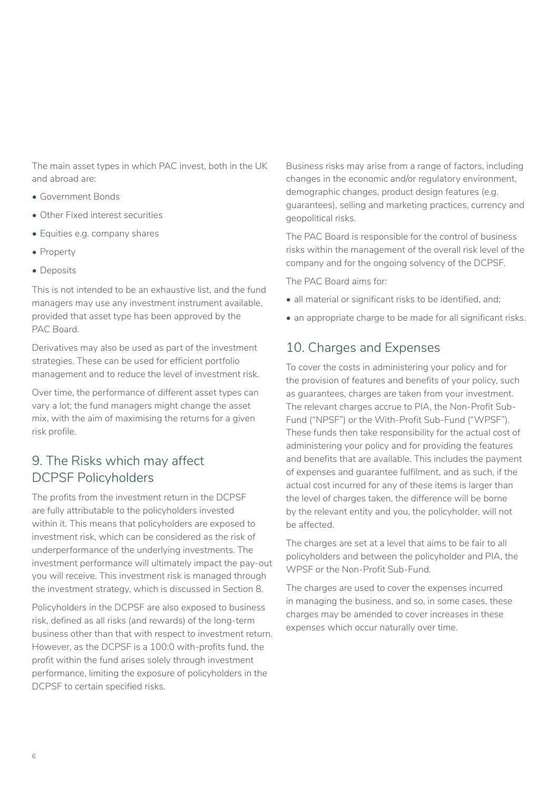The main asset types in which PAC invest, both in the UK and abroad are:

- Government Bonds
- Other Fixed interest securities
- Equities e.g. company shares
- Property
- Deposits

This is not intended to be an exhaustive list, and the fund managers may use any investment instrument available, provided that asset type has been approved by the PAC Board.

Derivatives may also be used as part of the investment strategies. These can be used for efficient portfolio management and to reduce the level of investment risk.

Over time, the performance of different asset types can vary a lot; the fund managers might change the asset mix, with the aim of maximising the returns for a given risk profile.

# 9. The Risks which may affect DCPSF Policyholders

The profits from the investment return in the DCPSF are fully attributable to the policyholders invested within it. This means that policyholders are exposed to investment risk, which can be considered as the risk of underperformance of the underlying investments. The investment performance will ultimately impact the pay-out you will receive. This investment risk is managed through the investment strategy, which is discussed in Section 8.

Policyholders in the DCPSF are also exposed to business risk, defined as all risks (and rewards) of the long-term business other than that with respect to investment return. However, as the DCPSF is a 100:0 with-profits fund, the profit within the fund arises solely through investment performance, limiting the exposure of policyholders in the DCPSF to certain specified risks.

Business risks may arise from a range of factors, including changes in the economic and/or regulatory environment, demographic changes, product design features (e.g. guarantees), selling and marketing practices, currency and geopolitical risks.

The PAC Board is responsible for the control of business risks within the management of the overall risk level of the company and for the ongoing solvency of the DCPSF.

The PAC Board aims for:

- all material or significant risks to be identified, and;
- an appropriate charge to be made for all significant risks.

# 10. Charges and Expenses

To cover the costs in administering your policy and for the provision of features and benefits of your policy, such as guarantees, charges are taken from your investment. The relevant charges accrue to PIA, the Non-Profit Sub-Fund ("NPSF") or the With-Profit Sub-Fund ("WPSF"). These funds then take responsibility for the actual cost of administering your policy and for providing the features and benefits that are available. This includes the payment of expenses and guarantee fulfilment, and as such, if the actual cost incurred for any of these items is larger than the level of charges taken, the difference will be borne by the relevant entity and you, the policyholder, will not be affected.

The charges are set at a level that aims to be fair to all policyholders and between the policyholder and PIA, the WPSF or the Non-Profit Sub-Fund.

The charges are used to cover the expenses incurred in managing the business, and so, in some cases, these charges may be amended to cover increases in these expenses which occur naturally over time.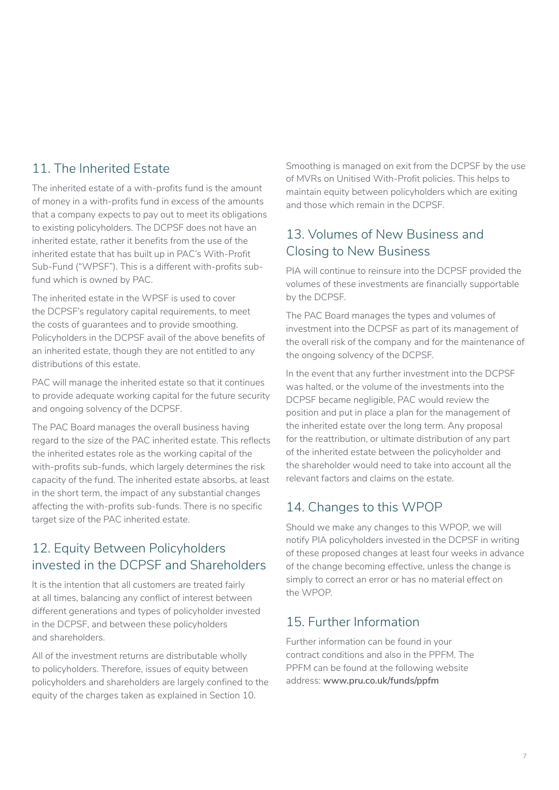# 11. The Inherited Estate

The inherited estate of a with-profits fund is the amount of money in a with-profits fund in excess of the amounts that a company expects to pay out to meet its obligations to existing policyholders. The DCPSF does not have an inherited estate, rather it benefits from the use of the inherited estate that has built up in PAC's With-Profit Sub-Fund ("WPSF"). This is a different with-profits subfund which is owned by PAC.

The inherited estate in the WPSF is used to cover the DCPSF's regulatory capital requirements, to meet the costs of guarantees and to provide smoothing. Policyholders in the DCPSF avail of the above benefits of an inherited estate, though they are not entitled to any distributions of this estate.

PAC will manage the inherited estate so that it continues to provide adequate working capital for the future security and ongoing solvency of the DCPSF.

The PAC Board manages the overall business having regard to the size of the PAC inherited estate. This reflects the inherited estates role as the working capital of the with-profits sub-funds, which largely determines the risk capacity of the fund. The inherited estate absorbs, at least in the short term, the impact of any substantial changes affecting the with-profits sub-funds. There is no specific target size of the PAC inherited estate.

# 12. Equity Between Policyholders invested in the DCPSF and Shareholders

It is the intention that all customers are treated fairly at all times, balancing any conflict of interest between different generations and types of policyholder invested in the DCPSF, and between these policyholders and shareholders.

All of the investment returns are distributable wholly to policyholders. Therefore, issues of equity between policyholders and shareholders are largely confined to the equity of the charges taken as explained in Section 10.

Smoothing is managed on exit from the DCPSF by the use of MVRs on Unitised With-Profit policies. This helps to maintain equity between policyholders which are exiting and those which remain in the DCPSF.

# 13. Volumes of New Business and Closing to New Business

PIA will continue to reinsure into the DCPSF provided the volumes of these investments are financially supportable by the DCPSF.

The PAC Board manages the types and volumes of investment into the DCPSF as part of its management of the overall risk of the company and for the maintenance of the ongoing solvency of the DCPSF.

In the event that any further investment into the DCPSF was halted, or the volume of the investments into the DCPSF became negligible, PAC would review the position and put in place a plan for the management of the inherited estate over the long term. Any proposal for the reattribution, or ultimate distribution of any part of the inherited estate between the policyholder and the shareholder would need to take into account all the relevant factors and claims on the estate.

# 14. Changes to this WPOP

Should we make any changes to this WPOP, we will notify PIA policyholders invested in the DCPSF in writing of these proposed changes at least four weeks in advance of the change becoming effective, unless the change is simply to correct an error or has no material effect on the WPOP.

# 15. Further Information

Further information can be found in your contract conditions and also in the PPFM. The PPFM can be found at the following website address: **www.pru.co.uk/funds/ppfm**